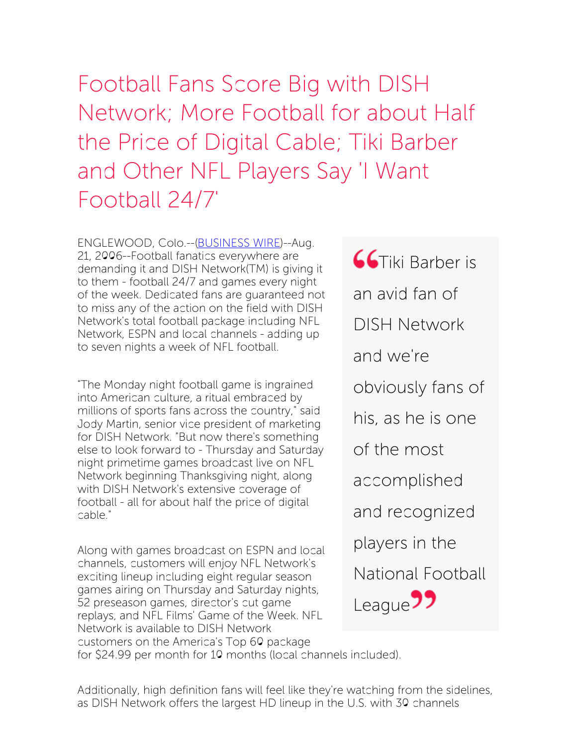Football Fans Score Big with DISH Network; More Football for about Half the Price of Digital Cable; Tiki Barber and Other NFL Players Say 'I Want Football 24/7'

ENGLEWOOD, Colo.--[\(BUSINESS](http://www.businesswire.com/) WIRE)--Aug. 21, 2006--Football fanatics everywhere are demanding it and DISH Network(TM) is giving it to them - football 24/7 and games every night of the week. Dedicated fans are guaranteed not to miss any of the action on the field with DISH Network's total football package including NFL Network, ESPN and local channels - adding up to seven nights a week of NFL football.

"The Monday night football game is ingrained into American culture, a ritual embraced by millions of sports fans across the country," said Jody Martin, senior vice president of marketing for DISH Network. "But now there's something else to look forward to - Thursday and Saturday night primetime games broadcast live on NFL Network beginning Thanksgiving night, along with DISH Network's extensive coverage of football - all for about half the price of digital cable."

Along with games broadcast on ESPN and local channels, customers will enjoy NFL Network's exciting lineup including eight regular season games airing on Thursday and Saturday nights, 52 preseason games, director's cut game replays, and NFL Films' Game of the Week. NFL Network is available to DISH Network customers on the America's Top 60 package

**GG**Tiki Barber is an avid fan of DISH Network and we're obviously fans of his, as he is one of the most accomplished and recognized players in the National Football League<sup>77</sup>

for \$24.99 per month for 10 months (local channels included).

Additionally, high definition fans will feel like they're watching from the sidelines, as DISH Network offers the largest HD lineup in the U.S. with 30 channels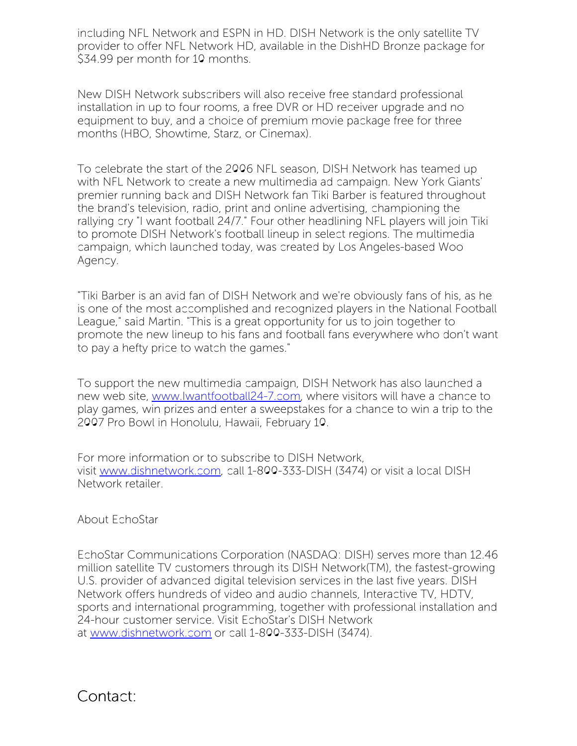including NFL Network and ESPN in HD. DISH Network is the only satellite TV provider to offer NFL Network HD, available in the DishHD Bronze package for \$34.99 per month for 10 months.

New DISH Network subscribers will also receive free standard professional installation in up to four rooms, a free DVR or HD receiver upgrade and no equipment to buy, and a choice of premium movie package free for three months (HBO, Showtime, Starz, or Cinemax).

To celebrate the start of the 2006 NFL season, DISH Network has teamed up with NFL Network to create a new multimedia ad campaign. New York Giants' premier running back and DISH Network fan Tiki Barber is featured throughout the brand's television, radio, print and online advertising, championing the rallying cry "I want football 24/7." Four other headlining NFL players will join Tiki to promote DISH Network's football lineup in select regions. The multimedia campaign, which launched today, was created by Los Angeles-based Woo Agency.

"Tiki Barber is an avid fan of DISH Network and we're obviously fans of his, as he is one of the most accomplished and recognized players in the National Football League," said Martin. "This is a great opportunity for us to join together to promote the new lineup to his fans and football fans everywhere who don't want to pay a hefty price to watch the games."

To support the new multimedia campaign, DISH Network has also launched a new web site, [www.Iwantfootball24-7.com](http://www.iwantfootball24-7.com/), where visitors will have a chance to play games, win prizes and enter a sweepstakes for a chance to win a trip to the 2007 Pro Bowl in Honolulu, Hawaii, February 10.

For more information or to subscribe to DISH Network, visit [www.dishnetwork.com](http://www.dishnetwork.com/), call 1-800-333-DISH (3474) or visit a local DISH Network retailer.

About EchoStar

EchoStar Communications Corporation (NASDAQ: DISH) serves more than 12.46 million satellite TV customers through its DISH Network(TM), the fastest-growing U.S. provider of advanced digital television services in the last five years. DISH Network offers hundreds of video and audio channels, Interactive TV, HDTV, sports and international programming, together with professional installation and 24-hour customer service. Visit EchoStar's DISH Network at [www.dishnetwork.com](http://www.dishnetwork.com/) or call 1-800-333-DISH (3474).

Contact: